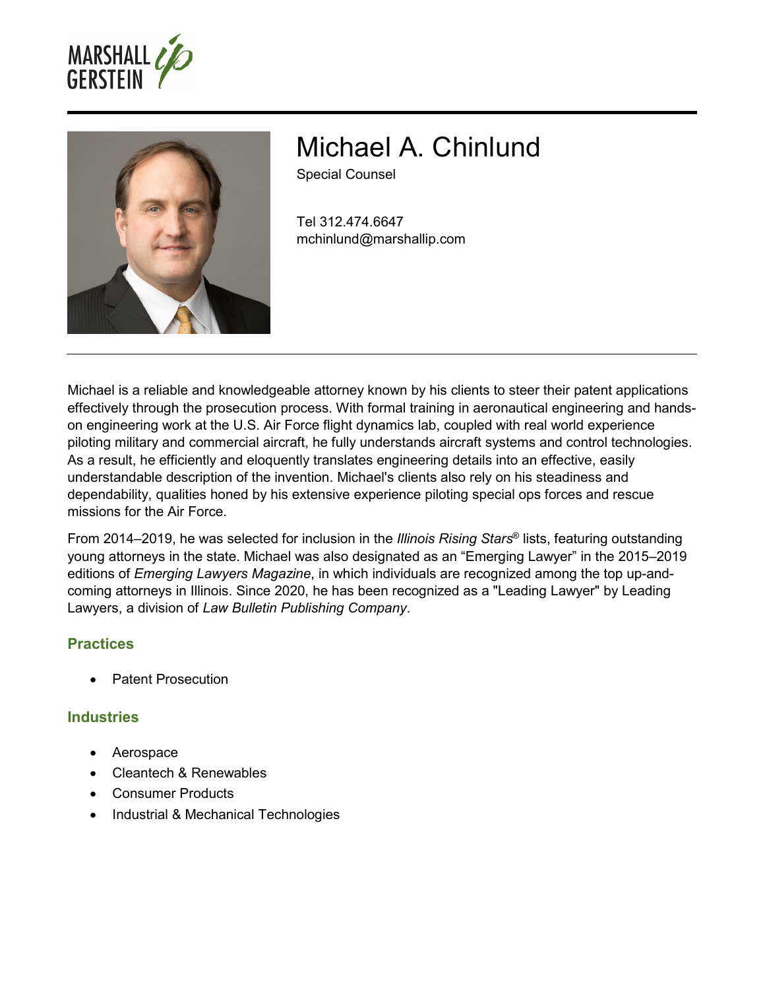



# Michael A. Chinlund

Special Counsel

Tel 312.474.6647 mchinlund@marshallip.com

Michael is a reliable and knowledgeable attorney known by his clients to steer their patent applications effectively through the prosecution process. With formal training in aeronautical engineering and handson engineering work at the U.S. Air Force flight dynamics lab, coupled with real world experience piloting military and commercial aircraft, he fully understands aircraft systems and control technologies. As a result, he efficiently and eloquently translates engineering details into an effective, easily understandable description of the invention. Michael's clients also rely on his steadiness and dependability, qualities honed by his extensive experience piloting special ops forces and rescue missions for the Air Force.

From 2014–2019, he was selected for inclusion in the *Illinois Rising Stars*® lists, featuring outstanding young attorneys in the state. Michael was also designated as an "Emerging Lawyer" in the 2015–2019 editions of *Emerging Lawyers Magazine*, in which individuals are recognized among the top up-andcoming attorneys in Illinois. Since 2020, he has been recognized as a "Leading Lawyer" by Leading Lawyers, a division of *Law Bulletin Publishing Company*.

# **Practices**

Patent Prosecution

#### **Industries**

- Aerospace
- Cleantech & Renewables
- Consumer Products
- Industrial & Mechanical Technologies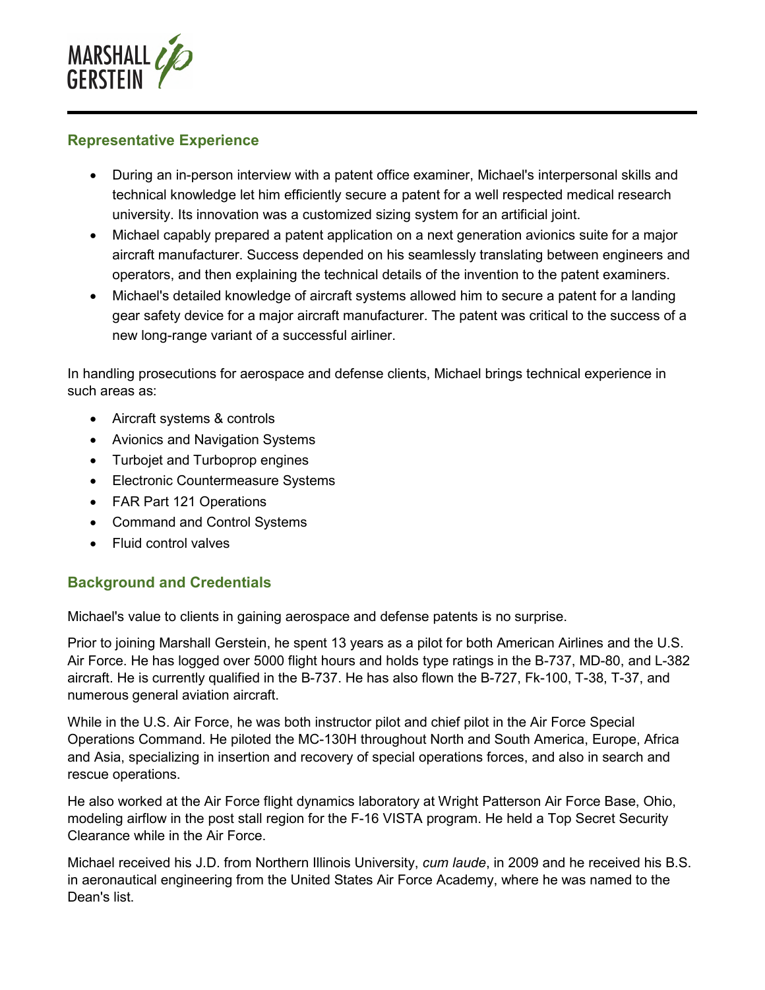

#### **Representative Experience**

- During an in-person interview with a patent office examiner, Michael's interpersonal skills and technical knowledge let him efficiently secure a patent for a well respected medical research university. Its innovation was a customized sizing system for an artificial joint.
- Michael capably prepared a patent application on a next generation avionics suite for a major aircraft manufacturer. Success depended on his seamlessly translating between engineers and operators, and then explaining the technical details of the invention to the patent examiners.
- Michael's detailed knowledge of aircraft systems allowed him to secure a patent for a landing gear safety device for a major aircraft manufacturer. The patent was critical to the success of a new long-range variant of a successful airliner.

In handling prosecutions for aerospace and defense clients, Michael brings technical experience in such areas as:

- Aircraft systems & controls
- Avionics and Navigation Systems
- Turbojet and Turboprop engines
- Electronic Countermeasure Systems
- FAR Part 121 Operations
- Command and Control Systems
- Fluid control valves

# **Background and Credentials**

Michael's value to clients in gaining aerospace and defense patents is no surprise.

Prior to joining Marshall Gerstein, he spent 13 years as a pilot for both American Airlines and the U.S. Air Force. He has logged over 5000 flight hours and holds type ratings in the B-737, MD-80, and L-382 aircraft. He is currently qualified in the B-737. He has also flown the B-727, Fk-100, T-38, T-37, and numerous general aviation aircraft.

While in the U.S. Air Force, he was both instructor pilot and chief pilot in the Air Force Special Operations Command. He piloted the MC-130H throughout North and South America, Europe, Africa and Asia, specializing in insertion and recovery of special operations forces, and also in search and rescue operations.

He also worked at the Air Force flight dynamics laboratory at Wright Patterson Air Force Base, Ohio, modeling airflow in the post stall region for the F-16 VISTA program. He held a Top Secret Security Clearance while in the Air Force.

Michael received his J.D. from Northern Illinois University, *cum laude*, in 2009 and he received his B.S. in aeronautical engineering from the United States Air Force Academy, where he was named to the Dean's list.